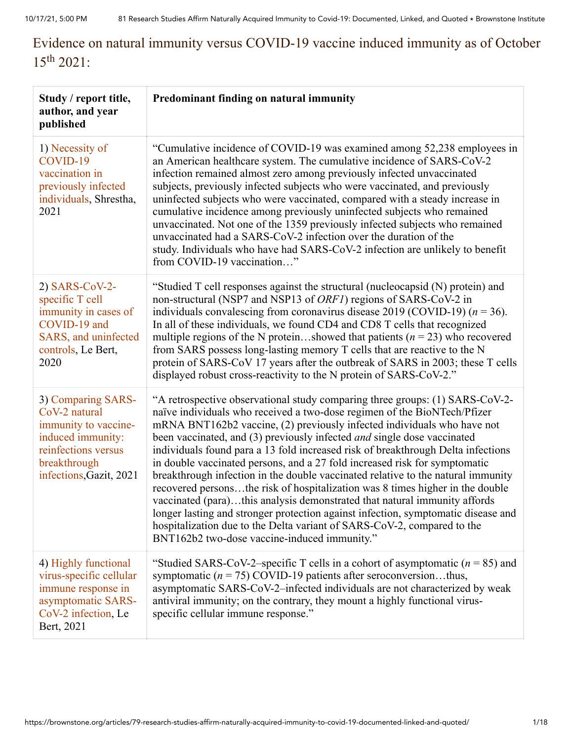## Evidence on natural immunity versus COVID-19 vaccine induced immunity as of October  $15^{th}$  2021:

| Study / report title,<br>author, and year<br>published                                                                                             | Predominant finding on natural immunity                                                                                                                                                                                                                                                                                                                                                                                                                                                                                                                                                                                                                                                                                                                                                                                                                                                                                                            |
|----------------------------------------------------------------------------------------------------------------------------------------------------|----------------------------------------------------------------------------------------------------------------------------------------------------------------------------------------------------------------------------------------------------------------------------------------------------------------------------------------------------------------------------------------------------------------------------------------------------------------------------------------------------------------------------------------------------------------------------------------------------------------------------------------------------------------------------------------------------------------------------------------------------------------------------------------------------------------------------------------------------------------------------------------------------------------------------------------------------|
| 1) Necessity of<br>COVID-19<br>vaccination in<br>previously infected<br>individuals, Shrestha,<br>2021                                             | "Cumulative incidence of COVID-19 was examined among 52,238 employees in<br>an American healthcare system. The cumulative incidence of SARS-CoV-2<br>infection remained almost zero among previously infected unvaccinated<br>subjects, previously infected subjects who were vaccinated, and previously<br>uninfected subjects who were vaccinated, compared with a steady increase in<br>cumulative incidence among previously uninfected subjects who remained<br>unvaccinated. Not one of the 1359 previously infected subjects who remained<br>unvaccinated had a SARS-CoV-2 infection over the duration of the<br>study. Individuals who have had SARS-CoV-2 infection are unlikely to benefit<br>from COVID-19 vaccination"                                                                                                                                                                                                                 |
| 2) SARS-CoV-2-<br>specific T cell<br>immunity in cases of<br>COVID-19 and<br>SARS, and uninfected<br>controls, Le Bert,<br>2020                    | "Studied T cell responses against the structural (nucleocapsid (N) protein) and<br>non-structural (NSP7 and NSP13 of ORF1) regions of SARS-CoV-2 in<br>individuals convalescing from coronavirus disease 2019 (COVID-19) ( $n = 36$ ).<br>In all of these individuals, we found CD4 and CD8 T cells that recognized<br>multiple regions of the N proteinshowed that patients ( $n = 23$ ) who recovered<br>from SARS possess long-lasting memory T cells that are reactive to the N<br>protein of SARS-CoV 17 years after the outbreak of SARS in 2003; these T cells<br>displayed robust cross-reactivity to the N protein of SARS-CoV-2."                                                                                                                                                                                                                                                                                                        |
| 3) Comparing SARS-<br>CoV-2 natural<br>immunity to vaccine-<br>induced immunity:<br>reinfections versus<br>breakthrough<br>infections, Gazit, 2021 | "A retrospective observational study comparing three groups: (1) SARS-CoV-2-<br>naïve individuals who received a two-dose regimen of the BioNTech/Pfizer<br>mRNA BNT162b2 vaccine, (2) previously infected individuals who have not<br>been vaccinated, and (3) previously infected and single dose vaccinated<br>individuals found para a 13 fold increased risk of breakthrough Delta infections<br>in double vaccinated persons, and a 27 fold increased risk for symptomatic<br>breakthrough infection in the double vaccinated relative to the natural immunity<br>recovered personsthe risk of hospitalization was 8 times higher in the double<br>vaccinated (para)this analysis demonstrated that natural immunity affords<br>longer lasting and stronger protection against infection, symptomatic disease and<br>hospitalization due to the Delta variant of SARS-CoV-2, compared to the<br>BNT162b2 two-dose vaccine-induced immunity." |
| 4) Highly functional<br>virus-specific cellular<br>immune response in<br>asymptomatic SARS-<br>CoV-2 infection, Le<br>Bert, 2021                   | "Studied SARS-CoV-2-specific T cells in a cohort of asymptomatic ( $n = 85$ ) and<br>symptomatic ( $n = 75$ ) COVID-19 patients after seroconversionthus,<br>asymptomatic SARS-CoV-2-infected individuals are not characterized by weak<br>antiviral immunity; on the contrary, they mount a highly functional virus-<br>specific cellular immune response."                                                                                                                                                                                                                                                                                                                                                                                                                                                                                                                                                                                       |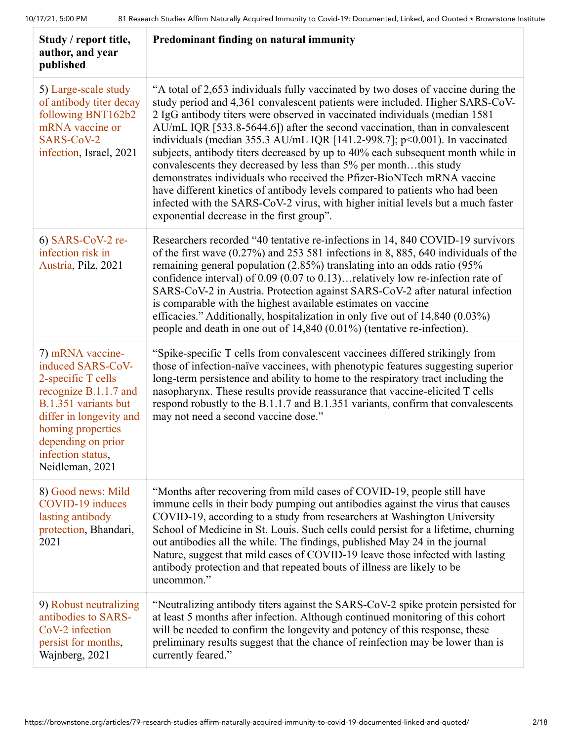| Study / report title,<br>author, and year<br>published                                                                                                                                                                     | Predominant finding on natural immunity                                                                                                                                                                                                                                                                                                                                                                                                                                                                                                                                                                                                                                                                                                                                                                                                                             |
|----------------------------------------------------------------------------------------------------------------------------------------------------------------------------------------------------------------------------|---------------------------------------------------------------------------------------------------------------------------------------------------------------------------------------------------------------------------------------------------------------------------------------------------------------------------------------------------------------------------------------------------------------------------------------------------------------------------------------------------------------------------------------------------------------------------------------------------------------------------------------------------------------------------------------------------------------------------------------------------------------------------------------------------------------------------------------------------------------------|
| 5) Large-scale study<br>of antibody titer decay<br>following BNT162b2<br>mRNA vaccine or<br>SARS-CoV-2<br>infection, Israel, 2021                                                                                          | "A total of 2,653 individuals fully vaccinated by two doses of vaccine during the<br>study period and 4,361 convalescent patients were included. Higher SARS-CoV-<br>2 IgG antibody titers were observed in vaccinated individuals (median 1581)<br>AU/mL IQR [533.8-5644.6]) after the second vaccination, than in convalescent<br>individuals (median 355.3 AU/mL IQR [141.2-998.7]; $p<0.001$ ). In vaccinated<br>subjects, antibody titers decreased by up to 40% each subsequent month while in<br>convalescents they decreased by less than 5% per monththis study<br>demonstrates individuals who received the Pfizer-BioNTech mRNA vaccine<br>have different kinetics of antibody levels compared to patients who had been<br>infected with the SARS-CoV-2 virus, with higher initial levels but a much faster<br>exponential decrease in the first group". |
| $6)$ SARS-CoV-2 re-<br>infection risk in<br>Austria, Pilz, 2021                                                                                                                                                            | Researchers recorded "40 tentative re-infections in 14, 840 COVID-19 survivors<br>of the first wave $(0.27\%)$ and 253 581 infections in 8, 885, 640 individuals of the<br>remaining general population (2.85%) translating into an odds ratio (95%<br>confidence interval) of 0.09 (0.07 to 0.13)relatively low re-infection rate of<br>SARS-CoV-2 in Austria. Protection against SARS-CoV-2 after natural infection<br>is comparable with the highest available estimates on vaccine<br>efficacies." Additionally, hospitalization in only five out of 14,840 (0.03%)<br>people and death in one out of 14,840 (0.01%) (tentative re-infection).                                                                                                                                                                                                                  |
| 7) mRNA vaccine-<br>induced SARS-CoV-<br>2-specific T cells<br>recognize B.1.1.7 and<br>B.1.351 variants but<br>differ in longevity and<br>homing properties<br>depending on prior<br>infection status,<br>Neidleman, 2021 | "Spike-specific T cells from convalescent vaccinees differed strikingly from<br>those of infection-naïve vaccinees, with phenotypic features suggesting superior<br>long-term persistence and ability to home to the respiratory tract including the<br>nasopharynx. These results provide reassurance that vaccine-elicited T cells<br>respond robustly to the B.1.1.7 and B.1.351 variants, confirm that convalescents<br>may not need a second vaccine dose."                                                                                                                                                                                                                                                                                                                                                                                                    |
| 8) Good news: Mild<br>COVID-19 induces<br>lasting antibody<br>protection, Bhandari,<br>2021                                                                                                                                | "Months after recovering from mild cases of COVID-19, people still have<br>immune cells in their body pumping out antibodies against the virus that causes<br>COVID-19, according to a study from researchers at Washington University<br>School of Medicine in St. Louis. Such cells could persist for a lifetime, churning<br>out antibodies all the while. The findings, published May 24 in the journal<br>Nature, suggest that mild cases of COVID-19 leave those infected with lasting<br>antibody protection and that repeated bouts of illness are likely to be<br>uncommon."                                                                                                                                                                                                                                                                               |
| 9) Robust neutralizing<br>antibodies to SARS-<br>CoV-2 infection<br>persist for months,<br>Wajnberg, 2021                                                                                                                  | "Neutralizing antibody titers against the SARS-CoV-2 spike protein persisted for<br>at least 5 months after infection. Although continued monitoring of this cohort<br>will be needed to confirm the longevity and potency of this response, these<br>preliminary results suggest that the chance of reinfection may be lower than is<br>currently feared."                                                                                                                                                                                                                                                                                                                                                                                                                                                                                                         |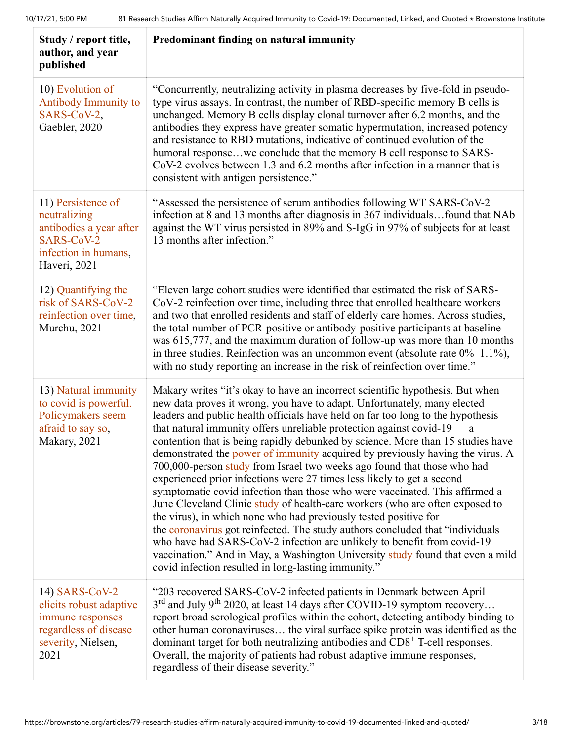| Study / report title,<br>author, and year<br>published                                                               | Predominant finding on natural immunity                                                                                                                                                                                                                                                                                                                                                                                                                                                                                                                                                                                                                                                                                                                                                                                                                                                                                                                                                                                                                                                                                                                                                      |
|----------------------------------------------------------------------------------------------------------------------|----------------------------------------------------------------------------------------------------------------------------------------------------------------------------------------------------------------------------------------------------------------------------------------------------------------------------------------------------------------------------------------------------------------------------------------------------------------------------------------------------------------------------------------------------------------------------------------------------------------------------------------------------------------------------------------------------------------------------------------------------------------------------------------------------------------------------------------------------------------------------------------------------------------------------------------------------------------------------------------------------------------------------------------------------------------------------------------------------------------------------------------------------------------------------------------------|
| 10) Evolution of<br><b>Antibody Immunity to</b><br>SARS-CoV-2,<br>Gaebler, 2020                                      | "Concurrently, neutralizing activity in plasma decreases by five-fold in pseudo-<br>type virus assays. In contrast, the number of RBD-specific memory B cells is<br>unchanged. Memory B cells display clonal turnover after 6.2 months, and the<br>antibodies they express have greater somatic hypermutation, increased potency<br>and resistance to RBD mutations, indicative of continued evolution of the<br>humoral responsewe conclude that the memory B cell response to SARS-<br>CoV-2 evolves between 1.3 and 6.2 months after infection in a manner that is<br>consistent with antigen persistence."                                                                                                                                                                                                                                                                                                                                                                                                                                                                                                                                                                               |
| 11) Persistence of<br>neutralizing<br>antibodies a year after<br>SARS-CoV-2<br>infection in humans,<br>Haveri, 2021  | "Assessed the persistence of serum antibodies following WT SARS-CoV-2<br>infection at 8 and 13 months after diagnosis in 367 individualsfound that NAb<br>against the WT virus persisted in 89% and S-IgG in 97% of subjects for at least<br>13 months after infection."                                                                                                                                                                                                                                                                                                                                                                                                                                                                                                                                                                                                                                                                                                                                                                                                                                                                                                                     |
| 12) Quantifying the<br>risk of SARS-CoV-2<br>reinfection over time,<br>Murchu, 2021                                  | "Eleven large cohort studies were identified that estimated the risk of SARS-<br>CoV-2 reinfection over time, including three that enrolled healthcare workers<br>and two that enrolled residents and staff of elderly care homes. Across studies,<br>the total number of PCR-positive or antibody-positive participants at baseline<br>was 615,777, and the maximum duration of follow-up was more than 10 months<br>in three studies. Reinfection was an uncommon event (absolute rate $0\%$ -1.1%),<br>with no study reporting an increase in the risk of reinfection over time."                                                                                                                                                                                                                                                                                                                                                                                                                                                                                                                                                                                                         |
| 13) Natural immunity<br>to covid is powerful.<br>Policymakers seem<br>afraid to say so,<br>Makary, 2021              | Makary writes "it's okay to have an incorrect scientific hypothesis. But when<br>new data proves it wrong, you have to adapt. Unfortunately, many elected<br>leaders and public health officials have held on far too long to the hypothesis<br>that natural immunity offers unreliable protection against covid- $19 - a$<br>contention that is being rapidly debunked by science. More than 15 studies have<br>demonstrated the power of immunity acquired by previously having the virus. A<br>700,000-person study from Israel two weeks ago found that those who had<br>experienced prior infections were 27 times less likely to get a second<br>symptomatic covid infection than those who were vaccinated. This affirmed a<br>June Cleveland Clinic study of health-care workers (who are often exposed to<br>the virus), in which none who had previously tested positive for<br>the coronavirus got reinfected. The study authors concluded that "individuals"<br>who have had SARS-CoV-2 infection are unlikely to benefit from covid-19<br>vaccination." And in May, a Washington University study found that even a mild<br>covid infection resulted in long-lasting immunity." |
| 14) SARS-CoV-2<br>elicits robust adaptive<br>immune responses<br>regardless of disease<br>severity, Nielsen,<br>2021 | "203 recovered SARS-CoV-2 infected patients in Denmark between April<br>3 <sup>rd</sup> and July 9 <sup>th</sup> 2020, at least 14 days after COVID-19 symptom recovery<br>report broad serological profiles within the cohort, detecting antibody binding to<br>other human coronaviruses the viral surface spike protein was identified as the<br>dominant target for both neutralizing antibodies and $CD8+$ T-cell responses.<br>Overall, the majority of patients had robust adaptive immune responses,<br>regardless of their disease severity."                                                                                                                                                                                                                                                                                                                                                                                                                                                                                                                                                                                                                                       |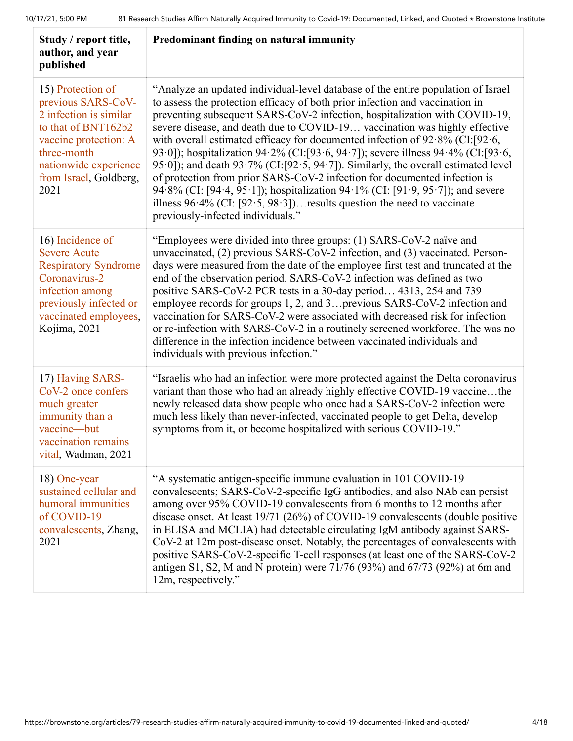| Study / report title,<br>author, and year<br>published                                                                                                                                      | Predominant finding on natural immunity                                                                                                                                                                                                                                                                                                                                                                                                                                                                                                                                                                                                                                                                                                                                                                                                                                     |
|---------------------------------------------------------------------------------------------------------------------------------------------------------------------------------------------|-----------------------------------------------------------------------------------------------------------------------------------------------------------------------------------------------------------------------------------------------------------------------------------------------------------------------------------------------------------------------------------------------------------------------------------------------------------------------------------------------------------------------------------------------------------------------------------------------------------------------------------------------------------------------------------------------------------------------------------------------------------------------------------------------------------------------------------------------------------------------------|
| 15) Protection of<br>previous SARS-CoV-<br>2 infection is similar<br>to that of BNT162b2<br>vaccine protection: A<br>three-month<br>nationwide experience<br>from Israel, Goldberg,<br>2021 | "Analyze an updated individual-level database of the entire population of Israel<br>to assess the protection efficacy of both prior infection and vaccination in<br>preventing subsequent SARS-CoV-2 infection, hospitalization with COVID-19,<br>severe disease, and death due to COVID-19 vaccination was highly effective<br>with overall estimated efficacy for documented infection of $92.8\%$ (CI:[92.6,<br>93.0]); hospitalization 94.2% (CI:[93.6, 94.7]); severe illness 94.4% (CI:[93.6,<br>95.0]); and death 93.7% (CI: [92.5, 94.7]). Similarly, the overall estimated level<br>of protection from prior SARS-CoV-2 infection for documented infection is<br>94.8% (CI: [94.4, 95.1]); hospitalization 94.1% (CI: [91.9, 95.7]); and severe<br>illness $96.4\%$ (CI: [92.5, 98.3]) results question the need to vaccinate<br>previously-infected individuals." |
| 16) Incidence of<br><b>Severe Acute</b><br><b>Respiratory Syndrome</b><br>Coronavirus-2<br>infection among<br>previously infected or<br>vaccinated employees,<br>Kojima, 2021               | "Employees were divided into three groups: (1) SARS-CoV-2 naïve and<br>unvaccinated, (2) previous SARS-CoV-2 infection, and (3) vaccinated. Person-<br>days were measured from the date of the employee first test and truncated at the<br>end of the observation period. SARS-CoV-2 infection was defined as two<br>positive SARS-CoV-2 PCR tests in a 30-day period 4313, 254 and 739<br>employee records for groups 1, 2, and 3 previous SARS-CoV-2 infection and<br>vaccination for SARS-CoV-2 were associated with decreased risk for infection<br>or re-infection with SARS-CoV-2 in a routinely screened workforce. The was no<br>difference in the infection incidence between vaccinated individuals and<br>individuals with previous infection."                                                                                                                  |
| 17) Having SARS-<br>CoV-2 once confers<br>much greater<br>immunity than a<br>vaccine-but<br>vaccination remains<br>vital, Wadman, 2021                                                      | "Israelis who had an infection were more protected against the Delta coronavirus<br>variant than those who had an already highly effective COVID-19 vaccinethe<br>newly released data show people who once had a SARS-CoV-2 infection were<br>much less likely than never-infected, vaccinated people to get Delta, develop<br>symptoms from it, or become hospitalized with serious COVID-19."                                                                                                                                                                                                                                                                                                                                                                                                                                                                             |
| 18) One-year<br>sustained cellular and<br>humoral immunities<br>of COVID-19<br>convalescents, Zhang,<br>2021                                                                                | "A systematic antigen-specific immune evaluation in 101 COVID-19<br>convalescents; SARS-CoV-2-specific IgG antibodies, and also NAb can persist<br>among over 95% COVID-19 convalescents from 6 months to 12 months after<br>disease onset. At least 19/71 (26%) of COVID-19 convalescents (double positive<br>in ELISA and MCLIA) had detectable circulating IgM antibody against SARS-<br>CoV-2 at 12m post-disease onset. Notably, the percentages of convalescents with<br>positive SARS-CoV-2-specific T-cell responses (at least one of the SARS-CoV-2<br>antigen S1, S2, M and N protein) were $71/76$ (93%) and $67/73$ (92%) at 6m and<br>12m, respectively."                                                                                                                                                                                                      |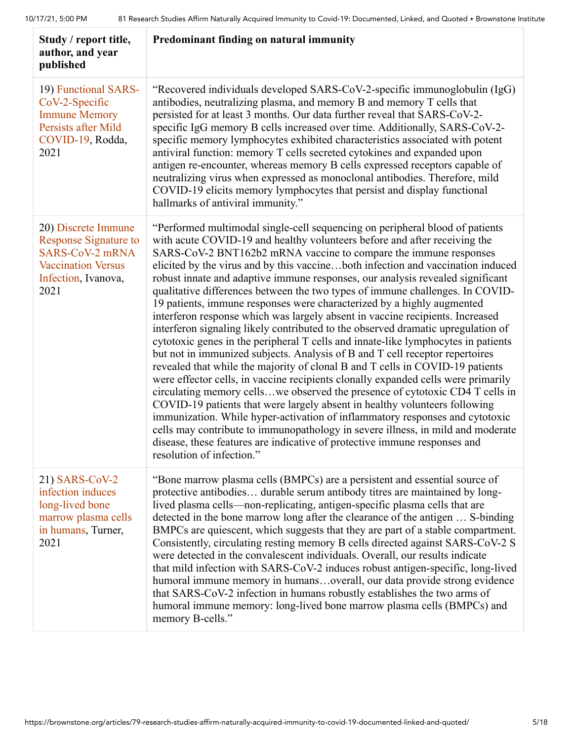| Study / report title,<br>author, and year<br>published                                                                                    | Predominant finding on natural immunity                                                                                                                                                                                                                                                                                                                                                                                                                                                                                                                                                                                                                                                                                                                                                                                                                                                                                                                                                                                                                                                                                                                                                                                                                                                                                                                                                                                                                                                                                  |
|-------------------------------------------------------------------------------------------------------------------------------------------|--------------------------------------------------------------------------------------------------------------------------------------------------------------------------------------------------------------------------------------------------------------------------------------------------------------------------------------------------------------------------------------------------------------------------------------------------------------------------------------------------------------------------------------------------------------------------------------------------------------------------------------------------------------------------------------------------------------------------------------------------------------------------------------------------------------------------------------------------------------------------------------------------------------------------------------------------------------------------------------------------------------------------------------------------------------------------------------------------------------------------------------------------------------------------------------------------------------------------------------------------------------------------------------------------------------------------------------------------------------------------------------------------------------------------------------------------------------------------------------------------------------------------|
| 19) Functional SARS-<br>CoV-2-Specific<br><b>Immune Memory</b><br>Persists after Mild<br>COVID-19, Rodda,<br>2021                         | "Recovered individuals developed SARS-CoV-2-specific immunoglobulin (IgG)<br>antibodies, neutralizing plasma, and memory B and memory T cells that<br>persisted for at least 3 months. Our data further reveal that SARS-CoV-2-<br>specific IgG memory B cells increased over time. Additionally, SARS-CoV-2-<br>specific memory lymphocytes exhibited characteristics associated with potent<br>antiviral function: memory T cells secreted cytokines and expanded upon<br>antigen re-encounter, whereas memory B cells expressed receptors capable of<br>neutralizing virus when expressed as monoclonal antibodies. Therefore, mild<br>COVID-19 elicits memory lymphocytes that persist and display functional<br>hallmarks of antiviral immunity."                                                                                                                                                                                                                                                                                                                                                                                                                                                                                                                                                                                                                                                                                                                                                                   |
| 20) Discrete Immune<br><b>Response Signature to</b><br><b>SARS-CoV-2 mRNA</b><br><b>Vaccination Versus</b><br>Infection, Ivanova,<br>2021 | "Performed multimodal single-cell sequencing on peripheral blood of patients<br>with acute COVID-19 and healthy volunteers before and after receiving the<br>SARS-CoV-2 BNT162b2 mRNA vaccine to compare the immune responses<br>elicited by the virus and by this vaccineboth infection and vaccination induced<br>robust innate and adaptive immune responses, our analysis revealed significant<br>qualitative differences between the two types of immune challenges. In COVID-<br>19 patients, immune responses were characterized by a highly augmented<br>interferon response which was largely absent in vaccine recipients. Increased<br>interferon signaling likely contributed to the observed dramatic upregulation of<br>cytotoxic genes in the peripheral T cells and innate-like lymphocytes in patients<br>but not in immunized subjects. Analysis of B and T cell receptor repertoires<br>revealed that while the majority of clonal B and T cells in COVID-19 patients<br>were effector cells, in vaccine recipients clonally expanded cells were primarily<br>circulating memory cellswe observed the presence of cytotoxic CD4 T cells in<br>COVID-19 patients that were largely absent in healthy volunteers following<br>immunization. While hyper-activation of inflammatory responses and cytotoxic<br>cells may contribute to immunopathology in severe illness, in mild and moderate<br>disease, these features are indicative of protective immune responses and<br>resolution of infection.' |
| 21) SARS-CoV-2<br>infection induces<br>long-lived bone<br>marrow plasma cells<br>in humans, Turner,<br>2021                               | "Bone marrow plasma cells (BMPCs) are a persistent and essential source of<br>protective antibodies durable serum antibody titres are maintained by long-<br>lived plasma cells—non-replicating, antigen-specific plasma cells that are<br>detected in the bone marrow long after the clearance of the antigen  S-binding<br>BMPCs are quiescent, which suggests that they are part of a stable compartment.<br>Consistently, circulating resting memory B cells directed against SARS-CoV-2 S<br>were detected in the convalescent individuals. Overall, our results indicate<br>that mild infection with SARS-CoV-2 induces robust antigen-specific, long-lived<br>humoral immune memory in humansoverall, our data provide strong evidence<br>that SARS-CoV-2 infection in humans robustly establishes the two arms of<br>humoral immune memory: long-lived bone marrow plasma cells (BMPCs) and<br>memory B-cells."                                                                                                                                                                                                                                                                                                                                                                                                                                                                                                                                                                                                  |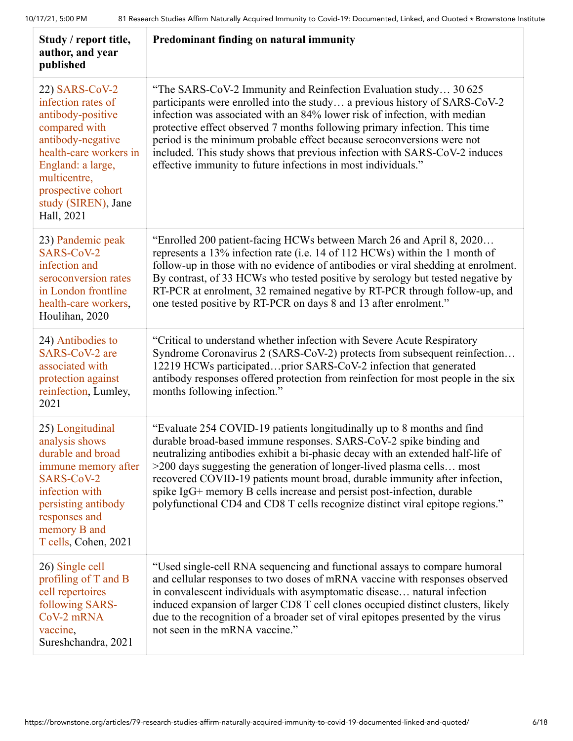| Study / report title,<br>author, and year<br>published                                                                                                                                                                    | Predominant finding on natural immunity                                                                                                                                                                                                                                                                                                                                                                                                                                                                                                           |
|---------------------------------------------------------------------------------------------------------------------------------------------------------------------------------------------------------------------------|---------------------------------------------------------------------------------------------------------------------------------------------------------------------------------------------------------------------------------------------------------------------------------------------------------------------------------------------------------------------------------------------------------------------------------------------------------------------------------------------------------------------------------------------------|
| 22) SARS-CoV-2<br>infection rates of<br>antibody-positive<br>compared with<br>antibody-negative<br>health-care workers in<br>England: a large,<br>multicentre,<br>prospective cohort<br>study (SIREN), Jane<br>Hall, 2021 | "The SARS-CoV-2 Immunity and Reinfection Evaluation study 30 625<br>participants were enrolled into the study a previous history of SARS-CoV-2<br>infection was associated with an 84% lower risk of infection, with median<br>protective effect observed 7 months following primary infection. This time<br>period is the minimum probable effect because seroconversions were not<br>included. This study shows that previous infection with SARS-CoV-2 induces<br>effective immunity to future infections in most individuals."                |
| 23) Pandemic peak<br>SARS-CoV-2<br>infection and<br>seroconversion rates<br>in London frontline<br>health-care workers,<br>Houlihan, 2020                                                                                 | "Enrolled 200 patient-facing HCWs between March 26 and April 8, 2020<br>represents a 13% infection rate (i.e. 14 of 112 HCWs) within the 1 month of<br>follow-up in those with no evidence of antibodies or viral shedding at enrolment.<br>By contrast, of 33 HCWs who tested positive by serology but tested negative by<br>RT-PCR at enrolment, 32 remained negative by RT-PCR through follow-up, and<br>one tested positive by RT-PCR on days 8 and 13 after enrolment."                                                                      |
| 24) Antibodies to<br>SARS-CoV-2 are<br>associated with<br>protection against<br>reinfection, Lumley,<br>2021                                                                                                              | "Critical to understand whether infection with Severe Acute Respiratory<br>Syndrome Coronavirus 2 (SARS-CoV-2) protects from subsequent reinfection<br>12219 HCWs participatedprior SARS-CoV-2 infection that generated<br>antibody responses offered protection from reinfection for most people in the six<br>months following infection."                                                                                                                                                                                                      |
| 25) Longitudinal<br>analysis shows<br>durable and broad<br>immune memory after<br>SARS-CoV-2<br>infection with<br>persisting antibody<br>responses and<br>memory B and<br>T cells, Cohen, 2021                            | "Evaluate 254 COVID-19 patients longitudinally up to 8 months and find<br>durable broad-based immune responses. SARS-CoV-2 spike binding and<br>neutralizing antibodies exhibit a bi-phasic decay with an extended half-life of<br>>200 days suggesting the generation of longer-lived plasma cells most<br>recovered COVID-19 patients mount broad, durable immunity after infection,<br>spike IgG+ memory B cells increase and persist post-infection, durable<br>polyfunctional CD4 and CD8 T cells recognize distinct viral epitope regions." |
| 26) Single cell<br>profiling of T and B<br>cell repertoires<br>following SARS-<br>CoV-2 mRNA<br>vaccine,<br>Sureshchandra, 2021                                                                                           | "Used single-cell RNA sequencing and functional assays to compare humoral<br>and cellular responses to two doses of mRNA vaccine with responses observed<br>in convalescent individuals with asymptomatic disease natural infection<br>induced expansion of larger CD8 T cell clones occupied distinct clusters, likely<br>due to the recognition of a broader set of viral epitopes presented by the virus<br>not seen in the mRNA vaccine."                                                                                                     |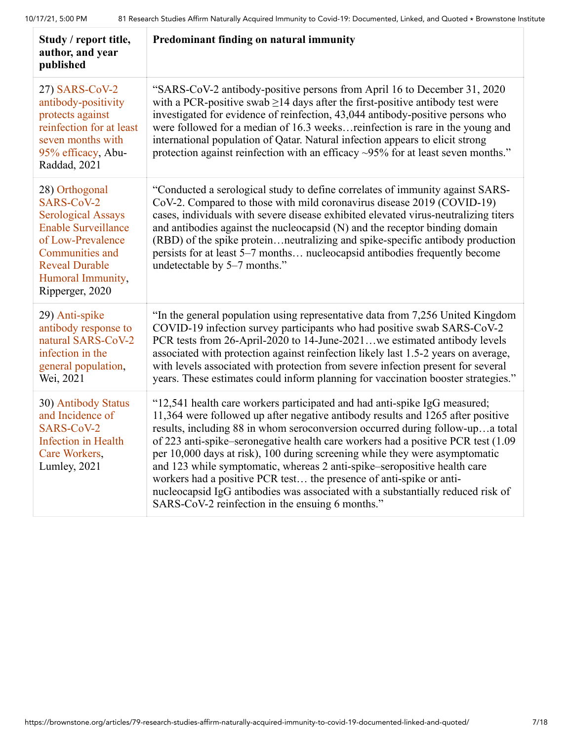| Study / report title,<br>author, and year<br>published                                                                                                                                           | Predominant finding on natural immunity                                                                                                                                                                                                                                                                                                                                                                                                                                                                                                                                                                                                                                                                    |
|--------------------------------------------------------------------------------------------------------------------------------------------------------------------------------------------------|------------------------------------------------------------------------------------------------------------------------------------------------------------------------------------------------------------------------------------------------------------------------------------------------------------------------------------------------------------------------------------------------------------------------------------------------------------------------------------------------------------------------------------------------------------------------------------------------------------------------------------------------------------------------------------------------------------|
| 27) SARS-CoV-2<br>antibody-positivity<br>protects against<br>reinfection for at least<br>seven months with<br>95% efficacy, Abu-<br>Raddad, 2021                                                 | "SARS-CoV-2 antibody-positive persons from April 16 to December 31, 2020<br>with a PCR-positive swab $\geq$ 14 days after the first-positive antibody test were<br>investigated for evidence of reinfection, 43,044 antibody-positive persons who<br>were followed for a median of 16.3 weeks reinfection is rare in the young and<br>international population of Qatar. Natural infection appears to elicit strong<br>protection against reinfection with an efficacy $\sim$ 95% for at least seven months."                                                                                                                                                                                              |
| 28) Orthogonal<br>SARS-CoV-2<br><b>Serological Assays</b><br><b>Enable Surveillance</b><br>of Low-Prevalence<br>Communities and<br><b>Reveal Durable</b><br>Humoral Immunity,<br>Ripperger, 2020 | "Conducted a serological study to define correlates of immunity against SARS-<br>CoV-2. Compared to those with mild coronavirus disease 2019 (COVID-19)<br>cases, individuals with severe disease exhibited elevated virus-neutralizing titers<br>and antibodies against the nucleocapsid (N) and the receptor binding domain<br>(RBD) of the spike proteinneutralizing and spike-specific antibody production<br>persists for at least 5–7 months nucleocapsid antibodies frequently become<br>undetectable by 5-7 months."                                                                                                                                                                               |
| 29) Anti-spike<br>antibody response to<br>natural SARS-CoV-2<br>infection in the<br>general population,<br>Wei, 2021                                                                             | "In the general population using representative data from 7,256 United Kingdom<br>COVID-19 infection survey participants who had positive swab SARS-CoV-2<br>PCR tests from 26-April-2020 to 14-June-2021we estimated antibody levels<br>associated with protection against reinfection likely last 1.5-2 years on average,<br>with levels associated with protection from severe infection present for several<br>years. These estimates could inform planning for vaccination booster strategies."                                                                                                                                                                                                       |
| 30) Antibody Status<br>and Incidence of<br>SARS-CoV-2<br><b>Infection</b> in Health<br>Care Workers,<br>Lumley, 2021                                                                             | "12,541 health care workers participated and had anti-spike IgG measured;<br>11,364 were followed up after negative antibody results and 1265 after positive<br>results, including 88 in whom seroconversion occurred during follow-upa total<br>of 223 anti-spike–seronegative health care workers had a positive PCR test (1.09<br>per 10,000 days at risk), 100 during screening while they were asymptomatic<br>and 123 while symptomatic, whereas 2 anti-spike-seropositive health care<br>workers had a positive PCR test the presence of anti-spike or anti-<br>nucleocapsid IgG antibodies was associated with a substantially reduced risk of<br>SARS-CoV-2 reinfection in the ensuing 6 months." |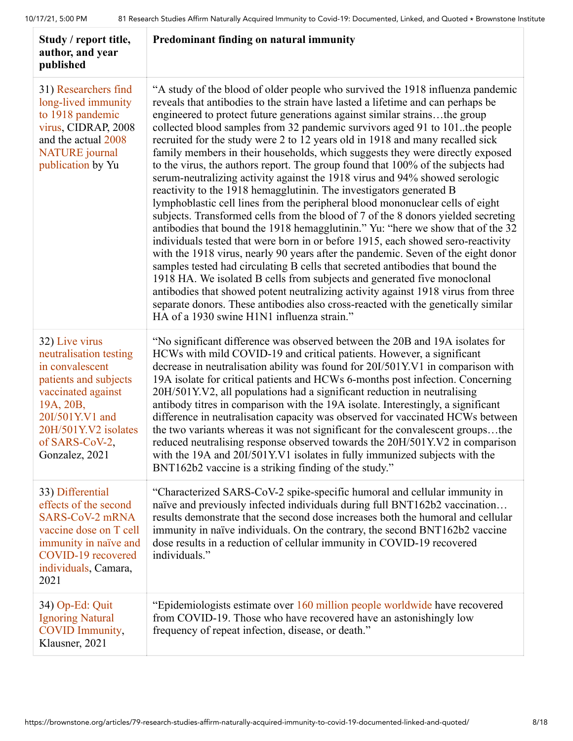| Study / report title,<br>author, and year<br>published                                                                                                                                                 | Predominant finding on natural immunity                                                                                                                                                                                                                                                                                                                                                                                                                                                                                                                                                                                                                                                                                                                                                                                                                                                                                                                                                                                                                                                                                                                                                                                                                                                                                                                                                                                                                                                                                                                            |
|--------------------------------------------------------------------------------------------------------------------------------------------------------------------------------------------------------|--------------------------------------------------------------------------------------------------------------------------------------------------------------------------------------------------------------------------------------------------------------------------------------------------------------------------------------------------------------------------------------------------------------------------------------------------------------------------------------------------------------------------------------------------------------------------------------------------------------------------------------------------------------------------------------------------------------------------------------------------------------------------------------------------------------------------------------------------------------------------------------------------------------------------------------------------------------------------------------------------------------------------------------------------------------------------------------------------------------------------------------------------------------------------------------------------------------------------------------------------------------------------------------------------------------------------------------------------------------------------------------------------------------------------------------------------------------------------------------------------------------------------------------------------------------------|
| 31) Researchers find<br>long-lived immunity<br>to 1918 pandemic<br>virus, CIDRAP, 2008<br>and the actual 2008<br><b>NATURE</b> journal<br>publication by Yu                                            | "A study of the blood of older people who survived the 1918 influenza pandemic<br>reveals that antibodies to the strain have lasted a lifetime and can perhaps be<br>engineered to protect future generations against similar strainsthe group<br>collected blood samples from 32 pandemic survivors aged 91 to 101. the people<br>recruited for the study were 2 to 12 years old in 1918 and many recalled sick<br>family members in their households, which suggests they were directly exposed<br>to the virus, the authors report. The group found that 100% of the subjects had<br>serum-neutralizing activity against the 1918 virus and 94% showed serologic<br>reactivity to the 1918 hemagglutinin. The investigators generated B<br>lymphoblastic cell lines from the peripheral blood mononuclear cells of eight<br>subjects. Transformed cells from the blood of 7 of the 8 donors yielded secreting<br>antibodies that bound the 1918 hemagglutinin." Yu: "here we show that of the 32<br>individuals tested that were born in or before 1915, each showed sero-reactivity<br>with the 1918 virus, nearly 90 years after the pandemic. Seven of the eight donor<br>samples tested had circulating B cells that secreted antibodies that bound the<br>1918 HA. We isolated B cells from subjects and generated five monoclonal<br>antibodies that showed potent neutralizing activity against 1918 virus from three<br>separate donors. These antibodies also cross-reacted with the genetically similar<br>HA of a 1930 swine H1N1 influenza strain." |
| 32) Live virus<br>neutralisation testing<br>in convalescent<br>patients and subjects<br>vaccinated against<br>19A, 20B,<br>20I/501Y.V1 and<br>20H/501Y.V2 isolates<br>of SARS-CoV-2,<br>Gonzalez, 2021 | "No significant difference was observed between the 20B and 19A isolates for<br>HCWs with mild COVID-19 and critical patients. However, a significant<br>decrease in neutralisation ability was found for 20I/501Y.V1 in comparison with<br>19A isolate for critical patients and HCWs 6-months post infection. Concerning<br>20H/501Y.V2, all populations had a significant reduction in neutralising<br>antibody titres in comparison with the 19A isolate. Interestingly, a significant<br>difference in neutralisation capacity was observed for vaccinated HCWs between<br>the two variants whereas it was not significant for the convalescent groupsthe<br>reduced neutralising response observed towards the 20H/501Y.V2 in comparison<br>with the 19A and 20I/501Y.V1 isolates in fully immunized subjects with the<br>BNT162b2 vaccine is a striking finding of the study."                                                                                                                                                                                                                                                                                                                                                                                                                                                                                                                                                                                                                                                                              |
| 33) Differential<br>effects of the second<br>SARS-CoV-2 mRNA<br>vaccine dose on T cell<br>immunity in naïve and<br>COVID-19 recovered<br>individuals, Camara,<br>2021                                  | "Characterized SARS-CoV-2 spike-specific humoral and cellular immunity in<br>naïve and previously infected individuals during full BNT162b2 vaccination<br>results demonstrate that the second dose increases both the humoral and cellular<br>immunity in naïve individuals. On the contrary, the second BNT162b2 vaccine<br>dose results in a reduction of cellular immunity in COVID-19 recovered<br>individuals."                                                                                                                                                                                                                                                                                                                                                                                                                                                                                                                                                                                                                                                                                                                                                                                                                                                                                                                                                                                                                                                                                                                                              |
| 34) Op-Ed: Quit<br><b>Ignoring Natural</b><br>COVID Immunity,<br>Klausner, 2021                                                                                                                        | "Epidemiologists estimate over 160 million people worldwide have recovered<br>from COVID-19. Those who have recovered have an astonishingly low<br>frequency of repeat infection, disease, or death."                                                                                                                                                                                                                                                                                                                                                                                                                                                                                                                                                                                                                                                                                                                                                                                                                                                                                                                                                                                                                                                                                                                                                                                                                                                                                                                                                              |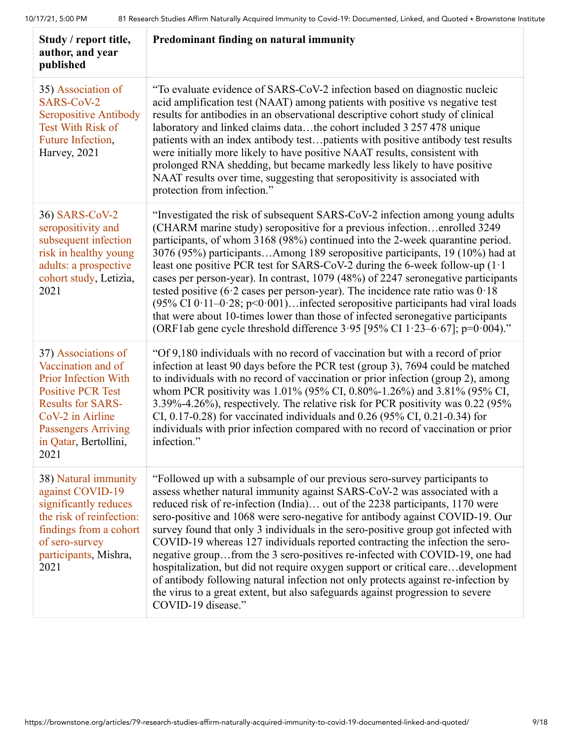| Study / report title,<br>author, and year<br>published                                                                                                                                                              | Predominant finding on natural immunity                                                                                                                                                                                                                                                                                                                                                                                                                                                                                                                                                                                                                                                                                                                                                                                                                   |
|---------------------------------------------------------------------------------------------------------------------------------------------------------------------------------------------------------------------|-----------------------------------------------------------------------------------------------------------------------------------------------------------------------------------------------------------------------------------------------------------------------------------------------------------------------------------------------------------------------------------------------------------------------------------------------------------------------------------------------------------------------------------------------------------------------------------------------------------------------------------------------------------------------------------------------------------------------------------------------------------------------------------------------------------------------------------------------------------|
| 35) Association of<br>SARS-CoV-2<br><b>Seropositive Antibody</b><br><b>Test With Risk of</b><br>Future Infection,<br>Harvey, 2021                                                                                   | "To evaluate evidence of SARS-CoV-2 infection based on diagnostic nucleic<br>acid amplification test (NAAT) among patients with positive vs negative test<br>results for antibodies in an observational descriptive cohort study of clinical<br>laboratory and linked claims datathe cohort included 3 257 478 unique<br>patients with an index antibody testpatients with positive antibody test results<br>were initially more likely to have positive NAAT results, consistent with<br>prolonged RNA shedding, but became markedly less likely to have positive<br>NAAT results over time, suggesting that seropositivity is associated with<br>protection from infection."                                                                                                                                                                            |
| 36) SARS-CoV-2<br>seropositivity and<br>subsequent infection<br>risk in healthy young<br>adults: a prospective<br>cohort study, Letizia,<br>2021                                                                    | "Investigated the risk of subsequent SARS-CoV-2 infection among young adults<br>(CHARM marine study) seropositive for a previous infectionenrolled 3249<br>participants, of whom 3168 (98%) continued into the 2-week quarantine period.<br>3076 (95%) participantsAmong 189 seropositive participants, 19 (10%) had at<br>least one positive PCR test for SARS-CoV-2 during the 6-week follow-up (1.1)<br>cases per person-year). In contrast, 1079 (48%) of 2247 seronegative participants<br>tested positive (6.2 cases per person-year). The incidence rate ratio was $0.18$<br>(95% CI $0.11-0.28$ ; p<0.001) infected seropositive participants had viral loads<br>that were about 10-times lower than those of infected seronegative participants<br>(ORF1ab gene cycle threshold difference 3.95 [95% CI 1.23-6.67]; p=0.004)."                   |
| 37) Associations of<br>Vaccination and of<br><b>Prior Infection With</b><br><b>Positive PCR Test</b><br><b>Results for SARS-</b><br>CoV-2 in Airline<br><b>Passengers Arriving</b><br>in Qatar, Bertollini,<br>2021 | "Of 9,180 individuals with no record of vaccination but with a record of prior<br>infection at least 90 days before the PCR test (group 3), 7694 could be matched<br>to individuals with no record of vaccination or prior infection (group 2), among<br>whom PCR positivity was 1.01% (95% CI, 0.80%-1.26%) and 3.81% (95% CI,<br>3.39%-4.26%), respectively. The relative risk for PCR positivity was 0.22 (95%<br>CI, 0.17-0.28) for vaccinated individuals and 0.26 (95% CI, 0.21-0.34) for<br>individuals with prior infection compared with no record of vaccination or prior<br>infection."                                                                                                                                                                                                                                                        |
| 38) Natural immunity<br>against COVID-19<br>significantly reduces<br>the risk of reinfection:<br>findings from a cohort<br>of sero-survey<br>participants, Mishra,<br>2021                                          | "Followed up with a subsample of our previous sero-survey participants to<br>assess whether natural immunity against SARS-CoV-2 was associated with a<br>reduced risk of re-infection (India) out of the 2238 participants, 1170 were<br>sero-positive and 1068 were sero-negative for antibody against COVID-19. Our<br>survey found that only 3 individuals in the sero-positive group got infected with<br>COVID-19 whereas 127 individuals reported contracting the infection the sero-<br>negative groupfrom the 3 sero-positives re-infected with COVID-19, one had<br>hospitalization, but did not require oxygen support or critical caredevelopment<br>of antibody following natural infection not only protects against re-infection by<br>the virus to a great extent, but also safeguards against progression to severe<br>COVID-19 disease." |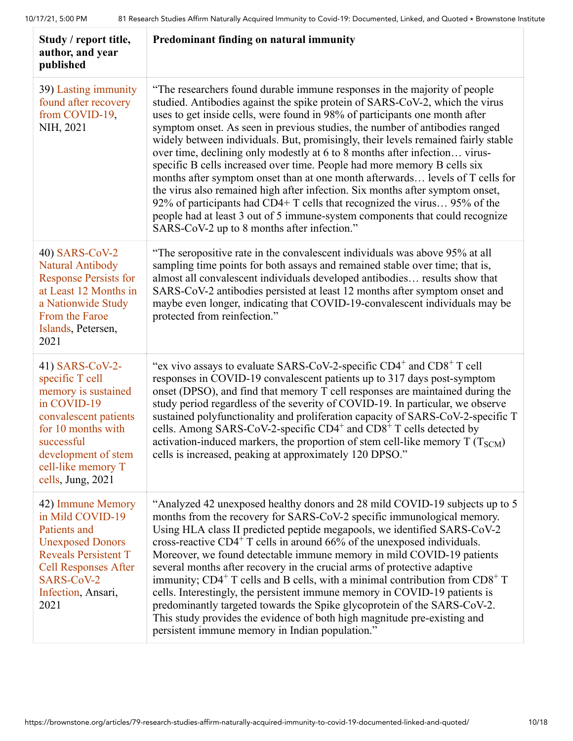| Study / report title,<br>author, and year<br>published                                                                                                                                                  | Predominant finding on natural immunity                                                                                                                                                                                                                                                                                                                                                                                                                                                                                                                                                                                                                                                                                                                                                                                                                                                                                                              |
|---------------------------------------------------------------------------------------------------------------------------------------------------------------------------------------------------------|------------------------------------------------------------------------------------------------------------------------------------------------------------------------------------------------------------------------------------------------------------------------------------------------------------------------------------------------------------------------------------------------------------------------------------------------------------------------------------------------------------------------------------------------------------------------------------------------------------------------------------------------------------------------------------------------------------------------------------------------------------------------------------------------------------------------------------------------------------------------------------------------------------------------------------------------------|
| 39) Lasting immunity<br>found after recovery<br>from COVID-19,<br>NIH, 2021                                                                                                                             | "The researchers found durable immune responses in the majority of people<br>studied. Antibodies against the spike protein of SARS-CoV-2, which the virus<br>uses to get inside cells, were found in 98% of participants one month after<br>symptom onset. As seen in previous studies, the number of antibodies ranged<br>widely between individuals. But, promisingly, their levels remained fairly stable<br>over time, declining only modestly at 6 to 8 months after infection virus-<br>specific B cells increased over time. People had more memory B cells six<br>months after symptom onset than at one month afterwards levels of T cells for<br>the virus also remained high after infection. Six months after symptom onset,<br>92% of participants had CD4+ T cells that recognized the virus 95% of the<br>people had at least 3 out of 5 immune-system components that could recognize<br>SARS-CoV-2 up to 8 months after infection." |
| 40) SARS-CoV-2<br>Natural Antibody<br><b>Response Persists for</b><br>at Least 12 Months in<br>a Nationwide Study<br>From the Faroe<br>Islands, Petersen,<br>2021                                       | "The seropositive rate in the convalescent individuals was above 95% at all<br>sampling time points for both assays and remained stable over time; that is,<br>almost all convalescent individuals developed antibodies results show that<br>SARS-CoV-2 antibodies persisted at least 12 months after symptom onset and<br>maybe even longer, indicating that COVID-19-convalescent individuals may be<br>protected from reinfection."                                                                                                                                                                                                                                                                                                                                                                                                                                                                                                               |
| 41) SARS-CoV-2-<br>specific T cell<br>memory is sustained<br>in COVID-19<br>convalescent patients<br>for 10 months with<br>successful<br>development of stem<br>cell-like memory T<br>cells, Jung, 2021 | "ex vivo assays to evaluate SARS-CoV-2-specific $CD4^+$ and $CD8^+$ T cell<br>responses in COVID-19 convalescent patients up to 317 days post-symptom<br>onset (DPSO), and find that memory T cell responses are maintained during the<br>study period regardless of the severity of COVID-19. In particular, we observe<br>sustained polyfunctionality and proliferation capacity of SARS-CoV-2-specific T<br>cells. Among SARS-CoV-2-specific CD4 <sup>+</sup> and CD8 <sup>+</sup> T cells detected by<br>activation-induced markers, the proportion of stem cell-like memory $T(T_{SCM})$<br>cells is increased, peaking at approximately 120 DPSO."                                                                                                                                                                                                                                                                                             |
| 42) Immune Memory<br>in Mild COVID-19<br>Patients and<br><b>Unexposed Donors</b><br><b>Reveals Persistent T</b><br><b>Cell Responses After</b><br>SARS-CoV-2<br>Infection, Ansari,<br>2021              | "Analyzed 42 unexposed healthy donors and 28 mild COVID-19 subjects up to 5<br>months from the recovery for SARS-CoV-2 specific immunological memory.<br>Using HLA class II predicted peptide megapools, we identified SARS-CoV-2<br>cross-reactive CD4 <sup>+</sup> T cells in around 66% of the unexposed individuals.<br>Moreover, we found detectable immune memory in mild COVID-19 patients<br>several months after recovery in the crucial arms of protective adaptive<br>immunity; CD4 <sup>+</sup> T cells and B cells, with a minimal contribution from $CD8^+$ T<br>cells. Interestingly, the persistent immune memory in COVID-19 patients is<br>predominantly targeted towards the Spike glycoprotein of the SARS-CoV-2.<br>This study provides the evidence of both high magnitude pre-existing and<br>persistent immune memory in Indian population."                                                                                 |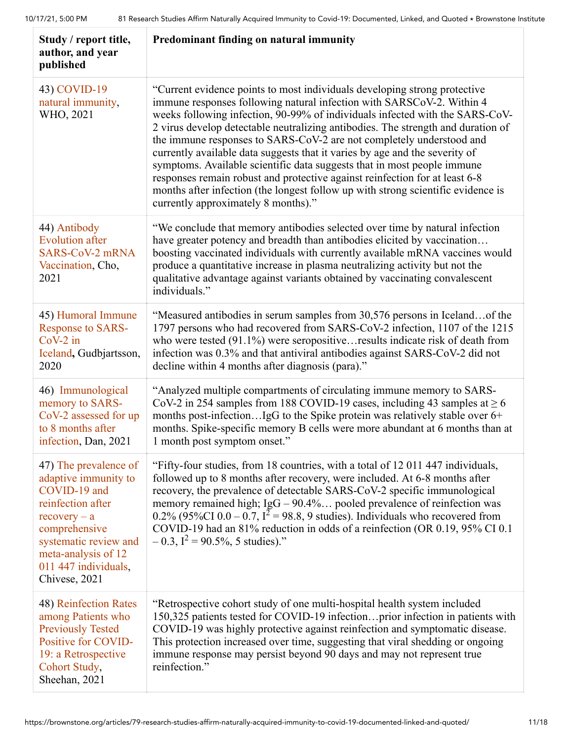| Study / report title,<br>author, and year<br>published                                                                                                                                                         | Predominant finding on natural immunity                                                                                                                                                                                                                                                                                                                                                                                                                                                                                                                                                                                                                                                                                                                            |
|----------------------------------------------------------------------------------------------------------------------------------------------------------------------------------------------------------------|--------------------------------------------------------------------------------------------------------------------------------------------------------------------------------------------------------------------------------------------------------------------------------------------------------------------------------------------------------------------------------------------------------------------------------------------------------------------------------------------------------------------------------------------------------------------------------------------------------------------------------------------------------------------------------------------------------------------------------------------------------------------|
| 43) COVID-19<br>natural immunity,<br>WHO, 2021                                                                                                                                                                 | "Current evidence points to most individuals developing strong protective<br>immune responses following natural infection with SARSCoV-2. Within 4<br>weeks following infection, 90-99% of individuals infected with the SARS-CoV-<br>2 virus develop detectable neutralizing antibodies. The strength and duration of<br>the immune responses to SARS-CoV-2 are not completely understood and<br>currently available data suggests that it varies by age and the severity of<br>symptoms. Available scientific data suggests that in most people immune<br>responses remain robust and protective against reinfection for at least 6-8<br>months after infection (the longest follow up with strong scientific evidence is<br>currently approximately 8 months)." |
| 44) Antibody<br><b>Evolution after</b><br>SARS-CoV-2 mRNA<br>Vaccination, Cho,<br>2021                                                                                                                         | "We conclude that memory antibodies selected over time by natural infection<br>have greater potency and breadth than antibodies elicited by vaccination<br>boosting vaccinated individuals with currently available mRNA vaccines would<br>produce a quantitative increase in plasma neutralizing activity but not the<br>qualitative advantage against variants obtained by vaccinating convalescent<br>individuals."                                                                                                                                                                                                                                                                                                                                             |
| 45) Humoral Immune<br><b>Response to SARS-</b><br>$CoV-2$ in<br>Iceland, Gudbjartsson,<br>2020                                                                                                                 | "Measured antibodies in serum samples from 30,576 persons in Icelandof the<br>1797 persons who had recovered from SARS-CoV-2 infection, 1107 of the 1215<br>who were tested $(91.1\%)$ were seropositive results indicate risk of death from<br>infection was 0.3% and that antiviral antibodies against SARS-CoV-2 did not<br>decline within 4 months after diagnosis (para)."                                                                                                                                                                                                                                                                                                                                                                                    |
| 46) Immunological<br>memory to SARS-<br>CoV-2 assessed for up<br>to 8 months after<br>infection, Dan, 2021                                                                                                     | "Analyzed multiple compartments of circulating immune memory to SARS-<br>CoV-2 in 254 samples from 188 COVID-19 cases, including 43 samples at $\geq 6$<br>months post-infectionIgG to the Spike protein was relatively stable over 6+<br>months. Spike-specific memory B cells were more abundant at 6 months than at<br>1 month post symptom onset."                                                                                                                                                                                                                                                                                                                                                                                                             |
| 47) The prevalence of<br>adaptive immunity to<br>COVID-19 and<br>reinfection after<br>$recovery - a$<br>comprehensive<br>systematic review and<br>meta-analysis of 12<br>011 447 individuals,<br>Chivese, 2021 | "Fifty-four studies, from 18 countries, with a total of 12 011 447 individuals,<br>followed up to 8 months after recovery, were included. At 6-8 months after<br>recovery, the prevalence of detectable SARS-CoV-2 specific immunological<br>memory remained high; IgG – 90.4% pooled prevalence of reinfection was 0.2% (95%CI 0.0 – 0.7, $I^2$ = 98.8, 9 studies). Individuals who recovered from<br>COVID-19 had an 81% reduction in odds of a reinfection (OR 0.19, 95% CI 0.1<br>$-0.3$ , $I^2 = 90.5\%$ , 5 studies)."                                                                                                                                                                                                                                       |
| 48) Reinfection Rates<br>among Patients who<br><b>Previously Tested</b><br>Positive for COVID-<br>19: a Retrospective<br>Cohort Study,<br>Sheehan, 2021                                                        | "Retrospective cohort study of one multi-hospital health system included<br>150,325 patients tested for COVID-19 infectionprior infection in patients with<br>COVID-19 was highly protective against reinfection and symptomatic disease.<br>This protection increased over time, suggesting that viral shedding or ongoing<br>immune response may persist beyond 90 days and may not represent true<br>reinfection."                                                                                                                                                                                                                                                                                                                                              |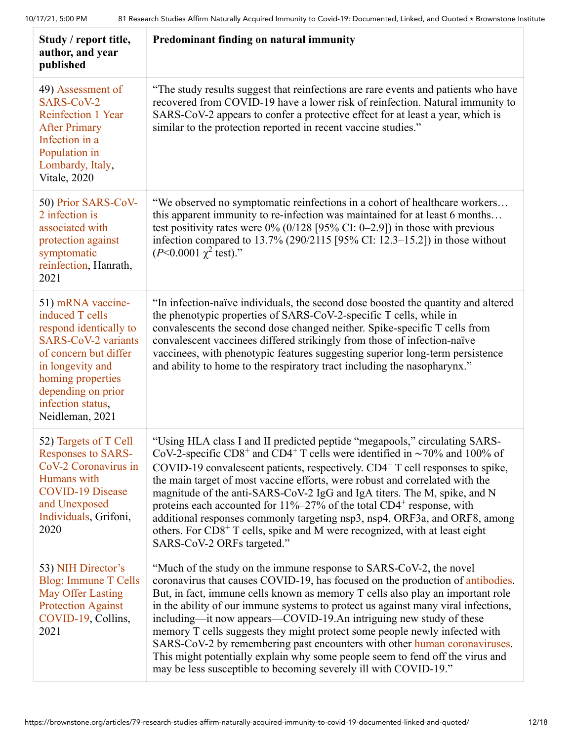| Study / report title,<br>author, and year<br>published                                                                                                                                                                       | Predominant finding on natural immunity                                                                                                                                                                                                                                                                                                                                                                                                                                                                                                                                                                                                                                                                                        |
|------------------------------------------------------------------------------------------------------------------------------------------------------------------------------------------------------------------------------|--------------------------------------------------------------------------------------------------------------------------------------------------------------------------------------------------------------------------------------------------------------------------------------------------------------------------------------------------------------------------------------------------------------------------------------------------------------------------------------------------------------------------------------------------------------------------------------------------------------------------------------------------------------------------------------------------------------------------------|
| 49) Assessment of<br>SARS-CoV-2<br>Reinfection 1 Year<br><b>After Primary</b><br>Infection in a<br>Population in<br>Lombardy, Italy,<br>Vitale, 2020                                                                         | "The study results suggest that reinfections are rare events and patients who have<br>recovered from COVID-19 have a lower risk of reinfection. Natural immunity to<br>SARS-CoV-2 appears to confer a protective effect for at least a year, which is<br>similar to the protection reported in recent vaccine studies."                                                                                                                                                                                                                                                                                                                                                                                                        |
| 50) Prior SARS-CoV-<br>2 infection is<br>associated with<br>protection against<br>symptomatic<br>reinfection, Hanrath,<br>2021                                                                                               | "We observed no symptomatic reinfections in a cohort of healthcare workers<br>this apparent immunity to re-infection was maintained for at least 6 months<br>test positivity rates were $0\%$ (0/128 [95% CI: 0–2.9]) in those with previous<br>infection compared to $13.7\%$ (290/2115 [95% CI: 12.3–15.2]) in those without<br>$(P<0.0001 \gamma^2 \text{ test})$ ."                                                                                                                                                                                                                                                                                                                                                        |
| 51) mRNA vaccine-<br>induced T cells<br>respond identically to<br><b>SARS-CoV-2 variants</b><br>of concern but differ<br>in longevity and<br>homing properties<br>depending on prior<br>infection status,<br>Neidleman, 2021 | "In infection-naïve individuals, the second dose boosted the quantity and altered<br>the phenotypic properties of SARS-CoV-2-specific T cells, while in<br>convalescents the second dose changed neither. Spike-specific T cells from<br>convalescent vaccinees differed strikingly from those of infection-naïve<br>vaccinees, with phenotypic features suggesting superior long-term persistence<br>and ability to home to the respiratory tract including the nasopharynx."                                                                                                                                                                                                                                                 |
| 52) Targets of T Cell<br><b>Responses to SARS-</b><br>CoV-2 Coronavirus in<br>Humans with<br><b>COVID-19 Disease</b><br>and Unexposed<br>Individuals, Grifoni,<br>2020                                                       | "Using HLA class I and II predicted peptide "megapools," circulating SARS-<br>CoV-2-specific CD8 <sup>+</sup> and CD4 <sup>+</sup> T cells were identified in ~70% and 100% of<br>COVID-19 convalescent patients, respectively. $CD4^+$ T cell responses to spike,<br>the main target of most vaccine efforts, were robust and correlated with the<br>magnitude of the anti-SARS-CoV-2 IgG and IgA titers. The M, spike, and N<br>proteins each accounted for $11\% - 27\%$ of the total CD4 <sup>+</sup> response, with<br>additional responses commonly targeting nsp3, nsp4, ORF3a, and ORF8, among<br>others. For CD8 <sup>+</sup> T cells, spike and M were recognized, with at least eight<br>SARS-CoV-2 ORFs targeted." |
| 53) NIH Director's<br><b>Blog: Immune T Cells</b><br>May Offer Lasting<br><b>Protection Against</b><br>COVID-19, Collins,<br>2021                                                                                            | "Much of the study on the immune response to SARS-CoV-2, the novel<br>coronavirus that causes COVID-19, has focused on the production of antibodies.<br>But, in fact, immune cells known as memory T cells also play an important role<br>in the ability of our immune systems to protect us against many viral infections,<br>including—it now appears—COVID-19.An intriguing new study of these<br>memory T cells suggests they might protect some people newly infected with<br>SARS-CoV-2 by remembering past encounters with other human coronaviruses.<br>This might potentially explain why some people seem to fend off the virus and<br>may be less susceptible to becoming severely ill with COVID-19."              |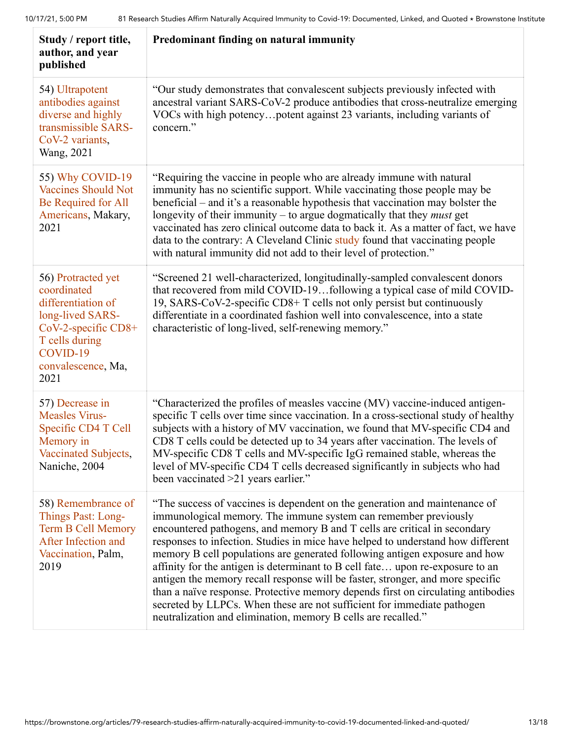| Study / report title,<br>author, and year<br>published                                                                                                         | Predominant finding on natural immunity                                                                                                                                                                                                                                                                                                                                                                                                                                                                                                                                                                                                                                                                                                                                                        |
|----------------------------------------------------------------------------------------------------------------------------------------------------------------|------------------------------------------------------------------------------------------------------------------------------------------------------------------------------------------------------------------------------------------------------------------------------------------------------------------------------------------------------------------------------------------------------------------------------------------------------------------------------------------------------------------------------------------------------------------------------------------------------------------------------------------------------------------------------------------------------------------------------------------------------------------------------------------------|
| 54) Ultrapotent<br>antibodies against<br>diverse and highly<br>transmissible SARS-<br>CoV-2 variants,<br>Wang, 2021                                            | "Our study demonstrates that convalescent subjects previously infected with<br>ancestral variant SARS-CoV-2 produce antibodies that cross-neutralize emerging<br>VOCs with high potencypotent against 23 variants, including variants of<br>concern."                                                                                                                                                                                                                                                                                                                                                                                                                                                                                                                                          |
| 55) Why COVID-19<br><b>Vaccines Should Not</b><br>Be Required for All<br>Americans, Makary,<br>2021                                                            | "Requiring the vaccine in people who are already immune with natural<br>immunity has no scientific support. While vaccinating those people may be<br>beneficial – and it's a reasonable hypothesis that vaccination may bolster the<br>longevity of their immunity $-$ to argue dogmatically that they <i>must</i> get<br>vaccinated has zero clinical outcome data to back it. As a matter of fact, we have<br>data to the contrary: A Cleveland Clinic study found that vaccinating people<br>with natural immunity did not add to their level of protection."                                                                                                                                                                                                                               |
| 56) Protracted yet<br>coordinated<br>differentiation of<br>long-lived SARS-<br>CoV-2-specific CD8+<br>T cells during<br>COVID-19<br>convalescence, Ma,<br>2021 | "Screened 21 well-characterized, longitudinally-sampled convalescent donors<br>that recovered from mild COVID-19following a typical case of mild COVID-<br>19, SARS-CoV-2-specific CD8+ T cells not only persist but continuously<br>differentiate in a coordinated fashion well into convalescence, into a state<br>characteristic of long-lived, self-renewing memory."                                                                                                                                                                                                                                                                                                                                                                                                                      |
| 57) Decrease in<br><b>Measles Virus-</b><br>Specific CD4 T Cell<br>Memory in<br>Vaccinated Subjects,<br>Naniche, 2004                                          | "Characterized the profiles of measles vaccine (MV) vaccine-induced antigen-<br>specific T cells over time since vaccination. In a cross-sectional study of healthy<br>subjects with a history of MV vaccination, we found that MV-specific CD4 and<br>CD8 T cells could be detected up to 34 years after vaccination. The levels of<br>MV-specific CD8 T cells and MV-specific IgG remained stable, whereas the<br>level of MV-specific CD4 T cells decreased significantly in subjects who had<br>been vaccinated >21 years earlier."                                                                                                                                                                                                                                                        |
| 58) Remembrance of<br>Things Past: Long-<br><b>Term B Cell Memory</b><br>After Infection and<br>Vaccination, Palm,<br>2019                                     | "The success of vaccines is dependent on the generation and maintenance of<br>immunological memory. The immune system can remember previously<br>encountered pathogens, and memory B and T cells are critical in secondary<br>responses to infection. Studies in mice have helped to understand how different<br>memory B cell populations are generated following antigen exposure and how<br>affinity for the antigen is determinant to B cell fate upon re-exposure to an<br>antigen the memory recall response will be faster, stronger, and more specific<br>than a naïve response. Protective memory depends first on circulating antibodies<br>secreted by LLPCs. When these are not sufficient for immediate pathogen<br>neutralization and elimination, memory B cells are recalled." |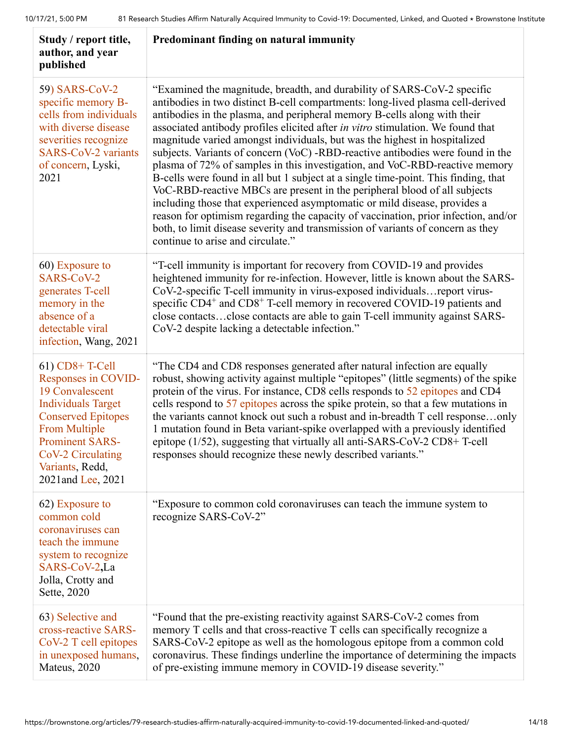| Study / report title,<br>author, and year<br>published                                                                                                                                                                              | Predominant finding on natural immunity                                                                                                                                                                                                                                                                                                                                                                                                                                                                                                                                                                                                                                                                                                                                                                                                                                                                                                                                                                                              |
|-------------------------------------------------------------------------------------------------------------------------------------------------------------------------------------------------------------------------------------|--------------------------------------------------------------------------------------------------------------------------------------------------------------------------------------------------------------------------------------------------------------------------------------------------------------------------------------------------------------------------------------------------------------------------------------------------------------------------------------------------------------------------------------------------------------------------------------------------------------------------------------------------------------------------------------------------------------------------------------------------------------------------------------------------------------------------------------------------------------------------------------------------------------------------------------------------------------------------------------------------------------------------------------|
| 59) SARS-CoV-2<br>specific memory B-<br>cells from individuals<br>with diverse disease<br>severities recognize<br><b>SARS-CoV-2 variants</b><br>of concern, Lyski,<br>2021                                                          | "Examined the magnitude, breadth, and durability of SARS-CoV-2 specific<br>antibodies in two distinct B-cell compartments: long-lived plasma cell-derived<br>antibodies in the plasma, and peripheral memory B-cells along with their<br>associated antibody profiles elicited after in vitro stimulation. We found that<br>magnitude varied amongst individuals, but was the highest in hospitalized<br>subjects. Variants of concern (VoC) -RBD-reactive antibodies were found in the<br>plasma of 72% of samples in this investigation, and VoC-RBD-reactive memory<br>B-cells were found in all but 1 subject at a single time-point. This finding, that<br>VoC-RBD-reactive MBCs are present in the peripheral blood of all subjects<br>including those that experienced asymptomatic or mild disease, provides a<br>reason for optimism regarding the capacity of vaccination, prior infection, and/or<br>both, to limit disease severity and transmission of variants of concern as they<br>continue to arise and circulate." |
| 60) Exposure to<br>SARS-CoV-2<br>generates T-cell<br>memory in the<br>absence of a<br>detectable viral<br>infection, Wang, 2021                                                                                                     | "T-cell immunity is important for recovery from COVID-19 and provides<br>heightened immunity for re-infection. However, little is known about the SARS-<br>CoV-2-specific T-cell immunity in virus-exposed individuals report virus-<br>specific CD4 <sup>+</sup> and CD8 <sup>+</sup> T-cell memory in recovered COVID-19 patients and<br>close contactsclose contacts are able to gain T-cell immunity against SARS-<br>CoV-2 despite lacking a detectable infection."                                                                                                                                                                                                                                                                                                                                                                                                                                                                                                                                                             |
| $61)$ CD8+T-Cell<br>Responses in COVID-<br>19 Convalescent<br><b>Individuals Target</b><br><b>Conserved Epitopes</b><br><b>From Multiple</b><br><b>Prominent SARS-</b><br>CoV-2 Circulating<br>Variants, Redd,<br>2021and Lee, 2021 | "The CD4 and CD8 responses generated after natural infection are equally<br>robust, showing activity against multiple "epitopes" (little segments) of the spike<br>protein of the virus. For instance, CD8 cells responds to 52 epitopes and CD4<br>cells respond to 57 epitopes across the spike protein, so that a few mutations in<br>the variants cannot knock out such a robust and in-breadth T cell responseonly<br>1 mutation found in Beta variant-spike overlapped with a previously identified<br>epitope (1/52), suggesting that virtually all anti-SARS-CoV-2 CD8+T-cell<br>responses should recognize these newly described variants."                                                                                                                                                                                                                                                                                                                                                                                 |
| 62) Exposure to<br>common cold<br>coronaviruses can<br>teach the immune<br>system to recognize<br>SARS-CoV-2,La<br>Jolla, Crotty and<br>Sette, 2020                                                                                 | "Exposure to common cold coronaviruses can teach the immune system to<br>recognize SARS-CoV-2"                                                                                                                                                                                                                                                                                                                                                                                                                                                                                                                                                                                                                                                                                                                                                                                                                                                                                                                                       |
| 63) Selective and<br>cross-reactive SARS-<br>CoV-2 T cell epitopes<br>in unexposed humans,<br>Mateus, 2020                                                                                                                          | "Found that the pre-existing reactivity against SARS-CoV-2 comes from<br>memory T cells and that cross-reactive T cells can specifically recognize a<br>SARS-CoV-2 epitope as well as the homologous epitope from a common cold<br>coronavirus. These findings underline the importance of determining the impacts<br>of pre-existing immune memory in COVID-19 disease severity."                                                                                                                                                                                                                                                                                                                                                                                                                                                                                                                                                                                                                                                   |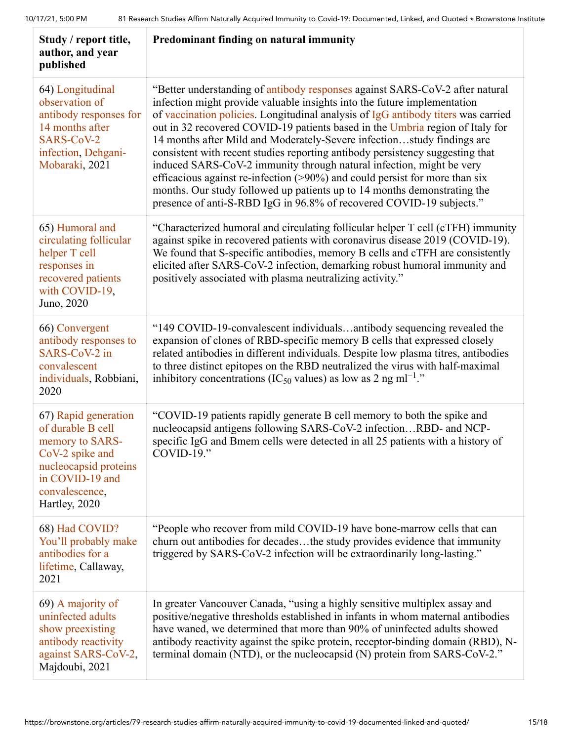| Study / report title,<br>author, and year<br>published                                                                                                         | Predominant finding on natural immunity                                                                                                                                                                                                                                                                                                                                                                                                                                                                                                                                                                                                                                                                                                                                                                 |
|----------------------------------------------------------------------------------------------------------------------------------------------------------------|---------------------------------------------------------------------------------------------------------------------------------------------------------------------------------------------------------------------------------------------------------------------------------------------------------------------------------------------------------------------------------------------------------------------------------------------------------------------------------------------------------------------------------------------------------------------------------------------------------------------------------------------------------------------------------------------------------------------------------------------------------------------------------------------------------|
| 64) Longitudinal<br>observation of<br>antibody responses for<br>14 months after<br>SARS-CoV-2<br>infection, Dehgani-<br>Mobaraki, 2021                         | "Better understanding of antibody responses against SARS-CoV-2 after natural<br>infection might provide valuable insights into the future implementation<br>of vaccination policies. Longitudinal analysis of IgG antibody titers was carried<br>out in 32 recovered COVID-19 patients based in the Umbria region of Italy for<br>14 months after Mild and Moderately-Severe infectionstudy findings are<br>consistent with recent studies reporting antibody persistency suggesting that<br>induced SARS-CoV-2 immunity through natural infection, might be very<br>efficacious against re-infection $(>90\%)$ and could persist for more than six<br>months. Our study followed up patients up to 14 months demonstrating the<br>presence of anti-S-RBD IgG in 96.8% of recovered COVID-19 subjects." |
| 65) Humoral and<br>circulating follicular<br>helper T cell<br>responses in<br>recovered patients<br>with COVID-19,<br>Juno, 2020                               | "Characterized humoral and circulating follicular helper T cell (cTFH) immunity<br>against spike in recovered patients with coronavirus disease 2019 (COVID-19).<br>We found that S-specific antibodies, memory B cells and cTFH are consistently<br>elicited after SARS-CoV-2 infection, demarking robust humoral immunity and<br>positively associated with plasma neutralizing activity."                                                                                                                                                                                                                                                                                                                                                                                                            |
| 66) Convergent<br>antibody responses to<br>SARS-CoV-2 in<br>convalescent<br>individuals, Robbiani,<br>2020                                                     | "149 COVID-19-convalescent individualsantibody sequencing revealed the<br>expansion of clones of RBD-specific memory B cells that expressed closely<br>related antibodies in different individuals. Despite low plasma titres, antibodies<br>to three distinct epitopes on the RBD neutralized the virus with half-maximal<br>inhibitory concentrations (IC <sub>50</sub> values) as low as 2 ng ml <sup>-1</sup> ."                                                                                                                                                                                                                                                                                                                                                                                    |
| 67) Rapid generation<br>of durable B cell<br>memory to SARS-<br>CoV-2 spike and<br>nucleocapsid proteins<br>in COVID-19 and<br>convalescence,<br>Hartley, 2020 | "COVID-19 patients rapidly generate B cell memory to both the spike and<br>nucleocapsid antigens following SARS-CoV-2 infectionRBD- and NCP-<br>specific IgG and Bmem cells were detected in all 25 patients with a history of<br>$COVID-19."$                                                                                                                                                                                                                                                                                                                                                                                                                                                                                                                                                          |
| 68) Had COVID?<br>You'll probably make<br>antibodies for a<br>lifetime, Callaway,<br>2021                                                                      | "People who recover from mild COVID-19 have bone-marrow cells that can<br>churn out antibodies for decadesthe study provides evidence that immunity<br>triggered by SARS-CoV-2 infection will be extraordinarily long-lasting."                                                                                                                                                                                                                                                                                                                                                                                                                                                                                                                                                                         |
| 69) A majority of<br>uninfected adults<br>show preexisting<br>antibody reactivity<br>against SARS-CoV-2,<br>Majdoubi, 2021                                     | In greater Vancouver Canada, "using a highly sensitive multiplex assay and<br>positive/negative thresholds established in infants in whom maternal antibodies<br>have waned, we determined that more than 90% of uninfected adults showed<br>antibody reactivity against the spike protein, receptor-binding domain (RBD), N-<br>terminal domain (NTD), or the nucleocapsid (N) protein from SARS-CoV-2."                                                                                                                                                                                                                                                                                                                                                                                               |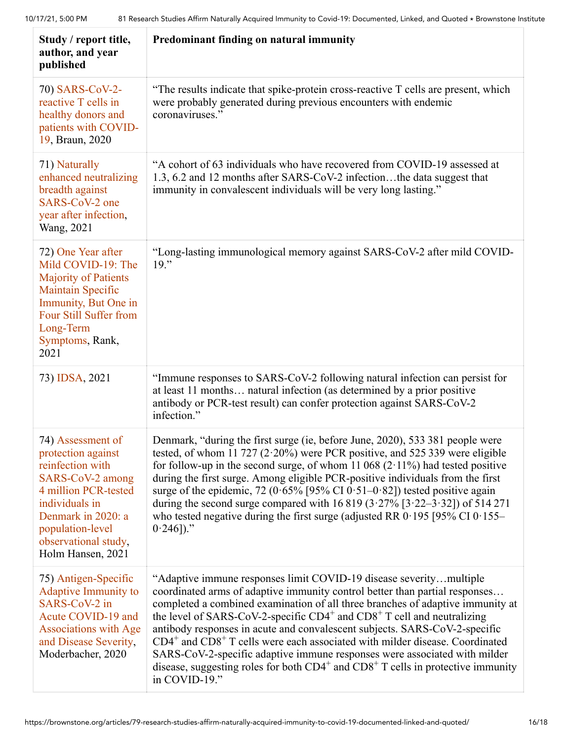| Study / report title,<br>author, and year<br>published                                                                                                                                                           | Predominant finding on natural immunity                                                                                                                                                                                                                                                                                                                                                                                                                                                                                                                                                                                                                                       |
|------------------------------------------------------------------------------------------------------------------------------------------------------------------------------------------------------------------|-------------------------------------------------------------------------------------------------------------------------------------------------------------------------------------------------------------------------------------------------------------------------------------------------------------------------------------------------------------------------------------------------------------------------------------------------------------------------------------------------------------------------------------------------------------------------------------------------------------------------------------------------------------------------------|
| 70) SARS-CoV-2-<br>reactive T cells in<br>healthy donors and<br>patients with COVID-<br>19, Braun, 2020                                                                                                          | "The results indicate that spike-protein cross-reactive T cells are present, which<br>were probably generated during previous encounters with endemic<br>coronaviruses."                                                                                                                                                                                                                                                                                                                                                                                                                                                                                                      |
| 71) Naturally<br>enhanced neutralizing<br>breadth against<br>SARS-CoV-2 one<br>year after infection,<br>Wang, 2021                                                                                               | "A cohort of 63 individuals who have recovered from COVID-19 assessed at<br>1.3, 6.2 and 12 months after SARS-CoV-2 infectionthe data suggest that<br>immunity in convalescent individuals will be very long lasting."                                                                                                                                                                                                                                                                                                                                                                                                                                                        |
| 72) One Year after<br>Mild COVID-19: The<br><b>Majority of Patients</b><br><b>Maintain Specific</b><br>Immunity, But One in<br>Four Still Suffer from<br>Long-Term<br>Symptoms, Rank,<br>2021                    | "Long-lasting immunological memory against SARS-CoV-2 after mild COVID-<br>19."                                                                                                                                                                                                                                                                                                                                                                                                                                                                                                                                                                                               |
| 73) IDSA, 2021                                                                                                                                                                                                   | "Immune responses to SARS-CoV-2 following natural infection can persist for<br>at least 11 months natural infection (as determined by a prior positive<br>antibody or PCR-test result) can confer protection against SARS-CoV-2<br>infection."                                                                                                                                                                                                                                                                                                                                                                                                                                |
| 74) Assessment of<br>protection against<br>reinfection with<br>SARS-CoV-2 among<br>4 million PCR-tested<br>individuals in<br>Denmark in 2020: a<br>population-level<br>observational study,<br>Holm Hansen, 2021 | Denmark, "during the first surge (ie, before June, 2020), 533 381 people were<br>tested, of whom 11 727 (2 $\cdot$ 20%) were PCR positive, and 525 339 were eligible<br>for follow-up in the second surge, of whom 11 068 $(2.11\%)$ had tested positive<br>during the first surge. Among eligible PCR-positive individuals from the first<br>surge of the epidemic, 72 ( $0.65\%$ [95% CI $0.51-0.82$ ]) tested positive again<br>during the second surge compared with 16 819 (3.27% [3.22–3.32]) of 514 271<br>who tested negative during the first surge (adjusted RR $0.195$ [95% CI $0.155-$<br>$0.246$ ])."                                                            |
| 75) Antigen-Specific<br><b>Adaptive Immunity to</b><br>SARS-CoV-2 in<br>Acute COVID-19 and<br><b>Associations with Age</b><br>and Disease Severity,<br>Moderbacher, 2020                                         | "Adaptive immune responses limit COVID-19 disease severitymultiple<br>coordinated arms of adaptive immunity control better than partial responses<br>completed a combined examination of all three branches of adaptive immunity at<br>the level of SARS-CoV-2-specific $CD4^+$ and $CD8^+$ T cell and neutralizing<br>antibody responses in acute and convalescent subjects. SARS-CoV-2-specific<br>$CD4^+$ and $CD8^+$ T cells were each associated with milder disease. Coordinated<br>SARS-CoV-2-specific adaptive immune responses were associated with milder<br>disease, suggesting roles for both $CD4^+$ and $CD8^+$ T cells in protective immunity<br>in COVID-19." |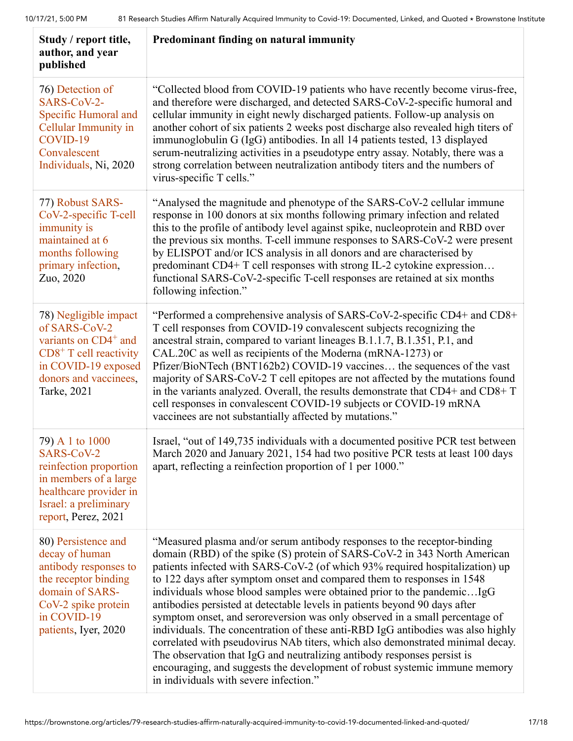| Study / report title,<br>author, and year<br>published                                                                                                                        | Predominant finding on natural immunity                                                                                                                                                                                                                                                                                                                                                                                                                                                                                                                                                                                                                                                                                                                                                                                                                                                                                        |
|-------------------------------------------------------------------------------------------------------------------------------------------------------------------------------|--------------------------------------------------------------------------------------------------------------------------------------------------------------------------------------------------------------------------------------------------------------------------------------------------------------------------------------------------------------------------------------------------------------------------------------------------------------------------------------------------------------------------------------------------------------------------------------------------------------------------------------------------------------------------------------------------------------------------------------------------------------------------------------------------------------------------------------------------------------------------------------------------------------------------------|
| 76) Detection of<br>SARS-CoV-2-<br>Specific Humoral and<br>Cellular Immunity in<br>COVID-19<br>Convalescent<br>Individuals, Ni, 2020                                          | "Collected blood from COVID-19 patients who have recently become virus-free,<br>and therefore were discharged, and detected SARS-CoV-2-specific humoral and<br>cellular immunity in eight newly discharged patients. Follow-up analysis on<br>another cohort of six patients 2 weeks post discharge also revealed high titers of<br>immunoglobulin G (IgG) antibodies. In all 14 patients tested, 13 displayed<br>serum-neutralizing activities in a pseudotype entry assay. Notably, there was a<br>strong correlation between neutralization antibody titers and the numbers of<br>virus-specific T cells."                                                                                                                                                                                                                                                                                                                  |
| 77) Robust SARS-<br>CoV-2-specific T-cell<br>immunity is<br>maintained at 6<br>months following<br>primary infection,<br>Zuo, 2020                                            | "Analysed the magnitude and phenotype of the SARS-CoV-2 cellular immune<br>response in 100 donors at six months following primary infection and related<br>this to the profile of antibody level against spike, nucleoprotein and RBD over<br>the previous six months. T-cell immune responses to SARS-CoV-2 were present<br>by ELISPOT and/or ICS analysis in all donors and are characterised by<br>predominant CD4+ T cell responses with strong IL-2 cytokine expression<br>functional SARS-CoV-2-specific T-cell responses are retained at six months<br>following infection."                                                                                                                                                                                                                                                                                                                                            |
| 78) Negligible impact<br>of SARS-CoV-2<br>variants on CD4 <sup>+</sup> and<br>$CDS+$ T cell reactivity<br>in COVID-19 exposed<br>donors and vaccinees,<br><b>Tarke</b> , 2021 | "Performed a comprehensive analysis of SARS-CoV-2-specific CD4+ and CD8+<br>T cell responses from COVID-19 convalescent subjects recognizing the<br>ancestral strain, compared to variant lineages B.1.1.7, B.1.351, P.1, and<br>CAL.20C as well as recipients of the Moderna (mRNA-1273) or<br>Pfizer/BioNTech (BNT162b2) COVID-19 vaccines the sequences of the vast<br>majority of SARS-CoV-2 T cell epitopes are not affected by the mutations found<br>in the variants analyzed. Overall, the results demonstrate that CD4+ and CD8+ T<br>cell responses in convalescent COVID-19 subjects or COVID-19 mRNA<br>vaccinees are not substantially affected by mutations."                                                                                                                                                                                                                                                    |
| 79) A 1 to 1000<br>SARS-CoV-2<br>reinfection proportion<br>in members of a large<br>healthcare provider in<br>Israel: a preliminary<br>report, Perez, 2021                    | Israel, "out of 149,735 individuals with a documented positive PCR test between<br>March 2020 and January 2021, 154 had two positive PCR tests at least 100 days<br>apart, reflecting a reinfection proportion of 1 per 1000."                                                                                                                                                                                                                                                                                                                                                                                                                                                                                                                                                                                                                                                                                                 |
| 80) Persistence and<br>decay of human<br>antibody responses to<br>the receptor binding<br>domain of SARS-<br>CoV-2 spike protein<br>in COVID-19<br>patients, Iyer, 2020       | "Measured plasma and/or serum antibody responses to the receptor-binding<br>domain (RBD) of the spike (S) protein of SARS-CoV-2 in 343 North American<br>patients infected with SARS-CoV-2 (of which 93% required hospitalization) up<br>to 122 days after symptom onset and compared them to responses in 1548<br>individuals whose blood samples were obtained prior to the pandemicIgG<br>antibodies persisted at detectable levels in patients beyond 90 days after<br>symptom onset, and seroreversion was only observed in a small percentage of<br>individuals. The concentration of these anti-RBD IgG antibodies was also highly<br>correlated with pseudovirus NAb titers, which also demonstrated minimal decay.<br>The observation that IgG and neutralizing antibody responses persist is<br>encouraging, and suggests the development of robust systemic immune memory<br>in individuals with severe infection." |